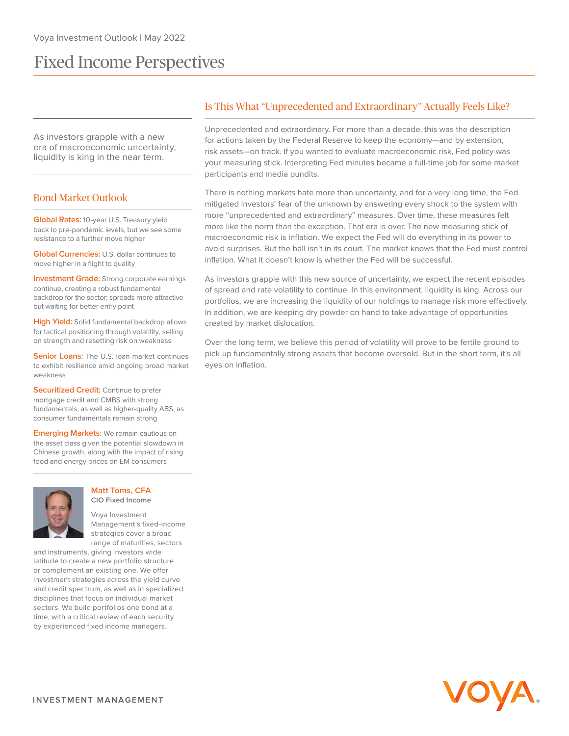# Fixed Income Perspectives

As investors grapple with a new era of macroeconomic uncertainty, liquidity is king in the near term.

# Bond Market Outlook

**Global Rates:** 10-year U.S. Treasury yield back to pre-pandemic levels, but we see some resistance to a further move higher

**Global Currencies:** U.S. dollar continues to move higher in a flight to quality

**Investment Grade:** Strong corporate earnings continue, creating a robust fundamental backdrop for the sector; spreads more attractive but waiting for better entry point

**High Yield:** Solid fundamental backdrop allows for tactical positioning through volatility, selling on strength and resetting risk on weakness

**Senior Loans:** The U.S. loan market continues to exhibit resilience amid ongoing broad market weakness

**Securitized Credit:** Continue to prefer mortgage credit and CMBS with strong fundamentals, as well as higher-quality ABS, as consumer fundamentals remain strong

**Emerging Markets:** We remain cautious on the asset class given the potential slowdown in Chinese growth, along with the impact of rising food and energy prices on EM consumers



#### **Matt Toms, CFA CIO Fixed Income**

Voya Investment Management's fixed-income strategies cover a broad range of maturities, sectors

and instruments, giving investors wide latitude to create a new portfolio structure or complement an existing one. We offer investment strategies across the yield curve and credit spectrum, as well as in specialized disciplines that focus on individual market sectors. We build portfolios one bond at a time, with a critical review of each security by experienced fixed income managers.

# Is This What "Unprecedented and Extraordinary" Actually Feels Like?

Unprecedented and extraordinary. For more than a decade, this was the description for actions taken by the Federal Reserve to keep the economy—and by extension, risk assets—on track. If you wanted to evaluate macroeconomic risk, Fed policy was your measuring stick. Interpreting Fed minutes became a full-time job for some market participants and media pundits.

There is nothing markets hate more than uncertainty, and for a very long time, the Fed mitigated investors' fear of the unknown by answering every shock to the system with more "unprecedented and extraordinary" measures. Over time, these measures felt more like the norm than the exception. That era is over. The new measuring stick of macroeconomic risk is inflation. We expect the Fed will do everything in its power to avoid surprises. But the ball isn't in its court. The market knows that the Fed must control inflation. What it doesn't know is whether the Fed will be successful.

As investors grapple with this new source of uncertainty, we expect the recent episodes of spread and rate volatility to continue. In this environment, liquidity is king. Across our portfolios, we are increasing the liquidity of our holdings to manage risk more effectively. In addition, we are keeping dry powder on hand to take advantage of opportunities created by market dislocation.

Over the long term, we believe this period of volatility will prove to be fertile ground to pick up fundamentally strong assets that become oversold. But in the short term, it's all eyes on inflation.

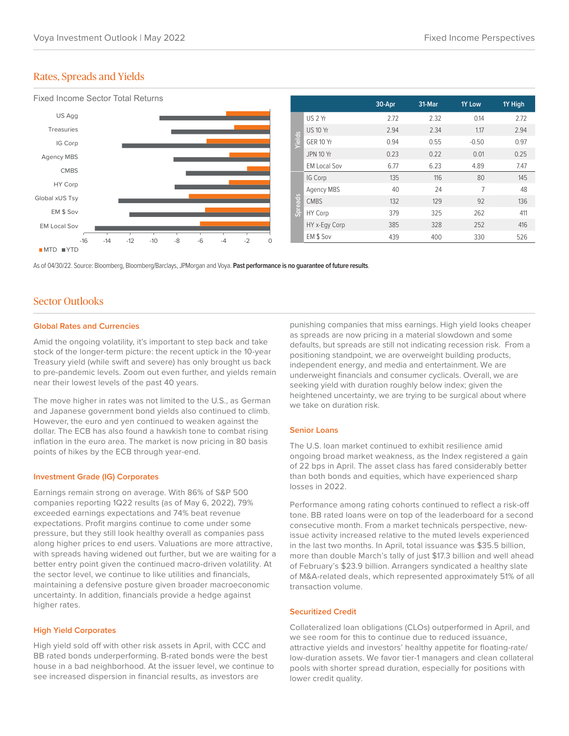## Rates, Spreads and Yields



As of 04/30/22. Source: Bloomberg, Bloomberg/Barclays, JPMorgan and Voya. **Past performance is no guarantee of future results**.

## Sector Outlooks

#### **Global Rates and Currencies**

Amid the ongoing volatility, it's important to step back and take stock of the longer-term picture: the recent uptick in the 10-year Treasury yield (while swift and severe) has only brought us back to pre-pandemic levels. Zoom out even further, and yields remain near their lowest levels of the past 40 years.

The move higher in rates was not limited to the U.S., as German and Japanese government bond yields also continued to climb. However, the euro and yen continued to weaken against the dollar. The ECB has also found a hawkish tone to combat rising inflation in the euro area. The market is now pricing in 80 basis points of hikes by the ECB through year-end.

## **Investment Grade (IG) Corporates**

Earnings remain strong on average. With 86% of S&P 500 companies reporting 1Q22 results (as of May 6, 2022), 79% exceeded earnings expectations and 74% beat revenue expectations. Profit margins continue to come under some pressure, but they still look healthy overall as companies pass along higher prices to end users. Valuations are more attractive, with spreads having widened out further, but we are waiting for a better entry point given the continued macro-driven volatility. At the sector level, we continue to like utilities and financials, maintaining a defensive posture given broader macroeconomic uncertainty. In addition, financials provide a hedge against higher rates.

## **High Yield Corporates**

High yield sold off with other risk assets in April, with CCC and BB rated bonds underperforming. B-rated bonds were the best house in a bad neighborhood. At the issuer level, we continue to see increased dispersion in financial results, as investors are

punishing companies that miss earnings. High yield looks cheaper as spreads are now pricing in a material slowdown and some defaults, but spreads are still not indicating recession risk. From a positioning standpoint, we are overweight building products, independent energy, and media and entertainment. We are underweight financials and consumer cyclicals. Overall, we are seeking yield with duration roughly below index; given the heightened uncertainty, we are trying to be surgical about where we take on duration risk.

#### **Senior Loans**

The U.S. loan market continued to exhibit resilience amid ongoing broad market weakness, as the Index registered a gain of 22 bps in April. The asset class has fared considerably better than both bonds and equities, which have experienced sharp losses in 2022.

Performance among rating cohorts continued to reflect a risk-off tone. BB rated loans were on top of the leaderboard for a second consecutive month. From a market technicals perspective, newissue activity increased relative to the muted levels experienced in the last two months. In April, total issuance was \$35.5 billion, more than double March's tally of just \$17.3 billion and well ahead of February's \$23.9 billion. Arrangers syndicated a healthy slate of M&A-related deals, which represented approximately 51% of all transaction volume.

## **Securitized Credit**

Collateralized loan obligations (CLOs) outperformed in April, and we see room for this to continue due to reduced issuance, attractive yields and investors' healthy appetite for floating-rate/ low-duration assets. We favor tier-1 managers and clean collateral pools with shorter spread duration, especially for positions with lower credit quality.